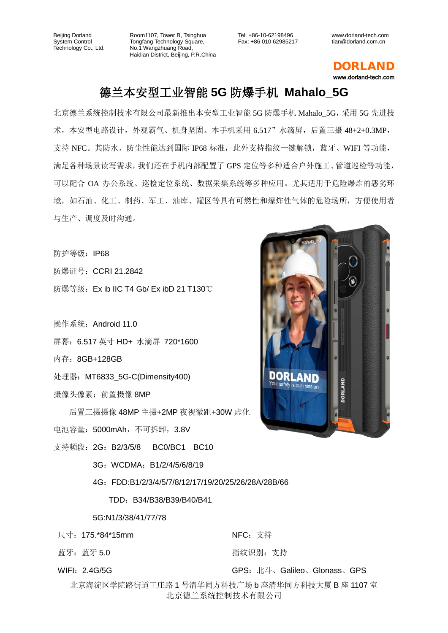Room1107, Tower B, Tsinghua Tongfang Technology Square, No.1 Wangzhuang Road, Haidian District, Beijing, P.R.China

Tel: +86-10-62198496 Fax: +86 010 62985217 www.dorland-tech.com tian@dorland.com.cn

DORLAND www.dorland-tech.com

## 德兰本安型工业智能 **5G** 防爆手机 **Mahalo\_5G**

北京德兰系统控制技术有限公司最新推出本安型工业智能 5G 防爆手机 Mahalo\_5G,采用 5G 先进技 术,本安型电路设计,外观霸气、机身坚固。本手机采用 6.517"水滴屏,后置三摄 48+2+0.3MP, 支持 NFC。其防水、防尘性能达到国际 IP68 标准,此外支持指纹一键解锁,蓝牙、WIFI 等功能, 满足各种场景读写需求,我们还在手机内部配置了 GPS 定位等多种适合户外施工、管道巡检等功能, 可以配合 OA 办公系统、巡检定位系统、数据采集系统等多种应用。尤其适用于危险爆炸的恶劣环 境,如石油、化工、制药、军工、油库、罐区等具有可燃性和爆炸性气体的危险场所,方便使用者 与生产、调度及时沟通。

防护等级: IP68

防爆证号:CCRI 21.2842

防爆等级:Ex ib IIC T4 Gb/ Ex ibD 21 T130℃

操作系统:Android 11.0

- 屏幕:6.517 英寸 HD+ 水滴屏 720\*1600
- 内存:8GB+128GB
- 处理器: MT6833 5G-C(Dimensity400)
- 摄像头像素:前置摄像 8MP

后置三摄摄像 48MP 主摄+2MP 夜视微距+30W 虚化 电池容量: 5000mAh, 不可拆卸, 3.8V

支持频段: 2G: B2/3/5/8 BC0/BC1 BC10

3G:WCDMA:B1/2/4/5/6/8/19

4G:FDD:B1/2/3/4/5/7/8/12/17/19/20/25/26/28A/28B/66

TDD:B34/B38/B39/B40/B41

5G:N1/3/38/41/77/78

尺寸:175.\*84\*15mm

- 蓝牙: 蓝牙 5.0
- WIFI:2.4G/5G

NFC:支持

指纹识别:支持

GPS:北斗、Galileo、Glonass、GPS

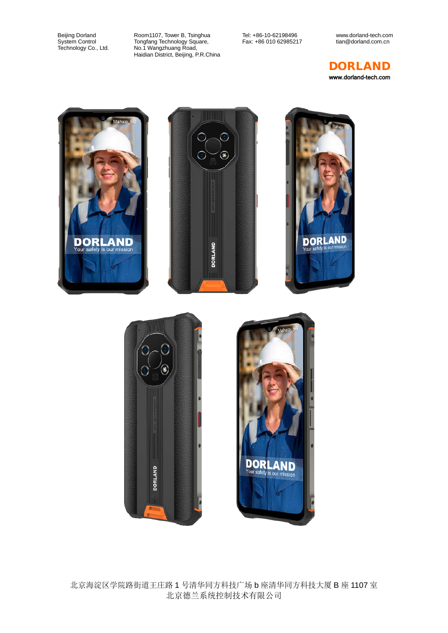Room1107, Tower B, Tsinghua Tongfang Technology Square, No.1 Wangzhuang Road, Haidian District, Beijing, P.R.China Tel: +86-10-62198496 Fax: +86 010 62985217 www.dorland-tech.com tian@dorland.com.cn



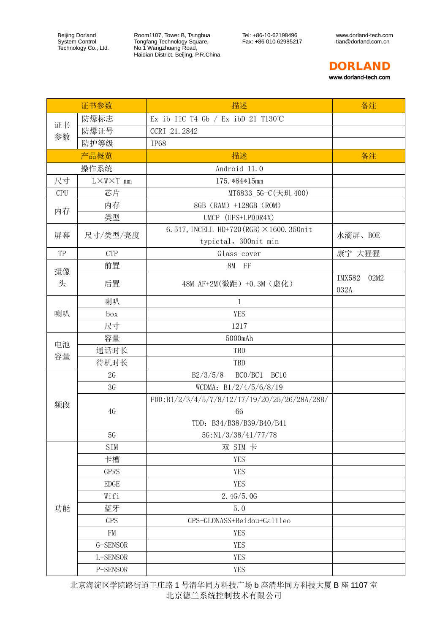Room1107, Tower B, Tsinghua Tongfang Technology Square, No.1 Wangzhuang Road, Haidian District, Beijing, P.R.China Tel: +86-10-62198496 Fax: +86 010 62985217

www.dorland-tech.com tian@dorland.com.cn



|            | 证书参数                     | 描述                                                                              | 备注                            |
|------------|--------------------------|---------------------------------------------------------------------------------|-------------------------------|
| 证书<br>参数   | 防爆标志                     | Ex ib IIC T4 Gb $/$ Ex ibD 21 T130°C                                            |                               |
|            | 防爆证号                     | CCRI 21.2842                                                                    |                               |
|            | 防护等级                     | <b>IP68</b>                                                                     |                               |
|            | 产品概览                     | 描述                                                                              | 备注                            |
|            | 操作系统                     | Android 11.0                                                                    |                               |
| 尺寸         | $L \times W \times T$ mm | 175.*84*15mm                                                                    |                               |
| <b>CPU</b> | 芯片                       | MT6833_5G-C(天玑 400)                                                             |                               |
| 内存         | 内存                       | 8GB (RAM) +128GB (ROM)                                                          |                               |
|            | 类型                       | UMCP (UFS+LPDDR4X)                                                              |                               |
| 屏幕         | 尺寸/类型/亮度                 | 6.517, INCELL HD+720 (RGB) $\times$ 1600.350nit                                 | 水滴屏、BOE                       |
|            |                          | typictal, 300nit min                                                            |                               |
| TP         | <b>CTP</b>               | Glass cover                                                                     | 康宁 大猩猩                        |
| 摄像         | 前置                       | 8M FF                                                                           |                               |
| 头          | 后置                       | 48M AF+2M (微距) +0.3M (虚化)                                                       | <b>IMX582</b><br>02M2<br>032A |
|            | 喇叭                       | $\mathbf{1}$                                                                    |                               |
| 喇叭         | box                      | <b>YES</b>                                                                      |                               |
|            | 尺寸                       | 1217                                                                            |                               |
| 电池<br>容量   | 容量                       | 5000mAh                                                                         |                               |
|            | 通话时长                     | TBD                                                                             |                               |
|            | 待机时长                     | TBD                                                                             |                               |
|            | 2G                       | BCO/BC1<br>BC10<br>B2/3/5/8                                                     |                               |
|            | 3G                       | WCDMA: $B1/2/4/5/6/8/19$                                                        |                               |
| 频段         | 4G                       | FDD:B1/2/3/4/5/7/8/12/17/19/20/25/26/28A/28B/<br>66<br>TDD: B34/B38/B39/B40/B41 |                               |
|            | 5G                       | 5G:N1/3/38/41/77/78                                                             |                               |
| 功能         | <b>SIM</b>               | 双 SIM 卡                                                                         |                               |
|            | 卡槽                       | <b>YES</b>                                                                      |                               |
|            | <b>GPRS</b>              | <b>YES</b>                                                                      |                               |
|            | <b>EDGE</b>              | <b>YES</b>                                                                      |                               |
|            | Wifi                     | 2.4G/5.0G                                                                       |                               |
|            | 蓝牙                       | 5.0                                                                             |                               |
|            | <b>GPS</b>               | GPS+GLONASS+Beidou+Galileo                                                      |                               |
|            | FM                       | <b>YES</b>                                                                      |                               |
|            | G-SENSOR                 | <b>YES</b>                                                                      |                               |
|            | L-SENSOR                 | <b>YES</b>                                                                      |                               |
|            | P-SENSOR                 | <b>YES</b>                                                                      |                               |